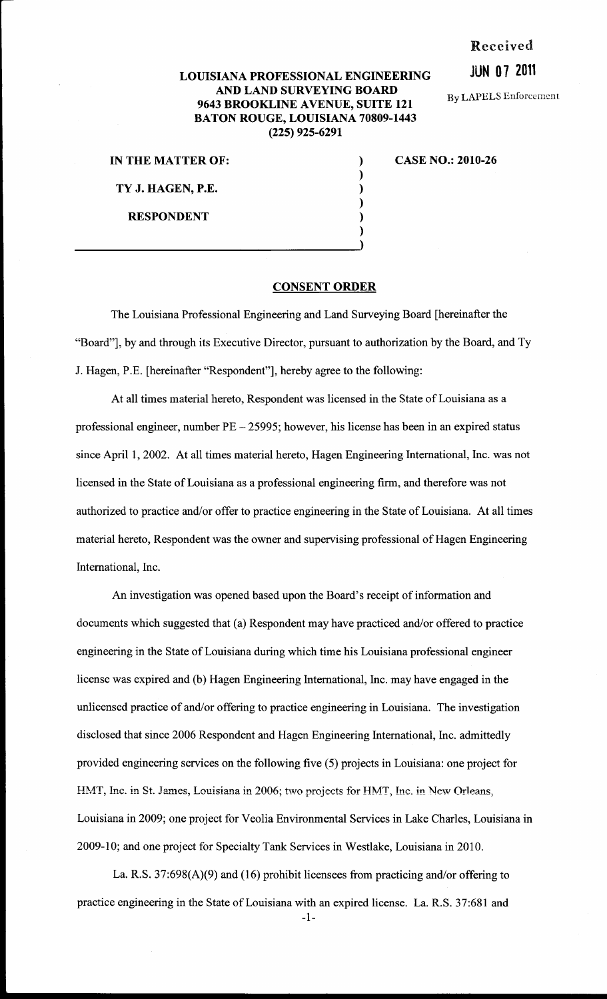#### Received

## JUN 0 7 2011

By LAPELS Enforcement

### LOUISIANA PROFESSIONAL ENGINEERING AND LAND SURVEYING BOARD 9643 BROOKLINE AVENUE, SUITE 121 BATON ROUGE, LOUISIANA 70809-1443 (225) 925-6291

IN THE MATTER OF: TY J. HAGEN, P.E.

RESPONDENT

# CASE NO.: 2010-26

#### CONSENT ORDER

) ) ) ) )

The Louisiana Professional Engineering and Land Surveying Board [hereinafter the "Board"], by and through its Executive Director, pursuant to authorization by the Board, and Ty J. Hagen, P.E. [hereinafter "Respondent"], hereby agree to the following:

At all times material hereto, Respondent was licensed in the State of Louisiana as a professional engineer, number PE- 25995; however, his license has been in an expired status since April 1, 2002. At all times material hereto, Hagen Engineering International, Inc. was not licensed in the State of Louisiana as a professional engineering firm, and therefore was not authorized to practice and/or offer to practice engineering in the State of Louisiana. At all times material hereto, Respondent was the owner and supervising professional of Hagen Engineering International, Inc.

An investigation was opened based upon the Board's receipt of information and documents which suggested that (a) Respondent may have practiced and/or offered to practice engineering in the State of Louisiana during which time his Louisiana professional engineer license was expired and (b) Hagen Engineering International, Inc. may have engaged in the unlicensed practice of and/or offering to practice engineering in Louisiana. The investigation disclosed that since 2006 Respondent and Hagen Engineering International, Inc. admittedly provided engineering services on the following five (5) projects in Louisiana: one project for HMT, Inc. in St. James, Louisiana in 2006; two projects for HMT, Inc. in New Orleans, Louisiana in 2009; one project for Veolia Environmental Services in Lake Charles, Louisiana in 2009-10; and one project for Specialty Tank Services in Westlake, Louisiana in 2010.

La. R.S. 37:698(A)(9) and (16) prohibit licensees from practicing and/or offering to practice engineering in the State of Louisiana with an expired license. La. R.S. 37:681 and

-1-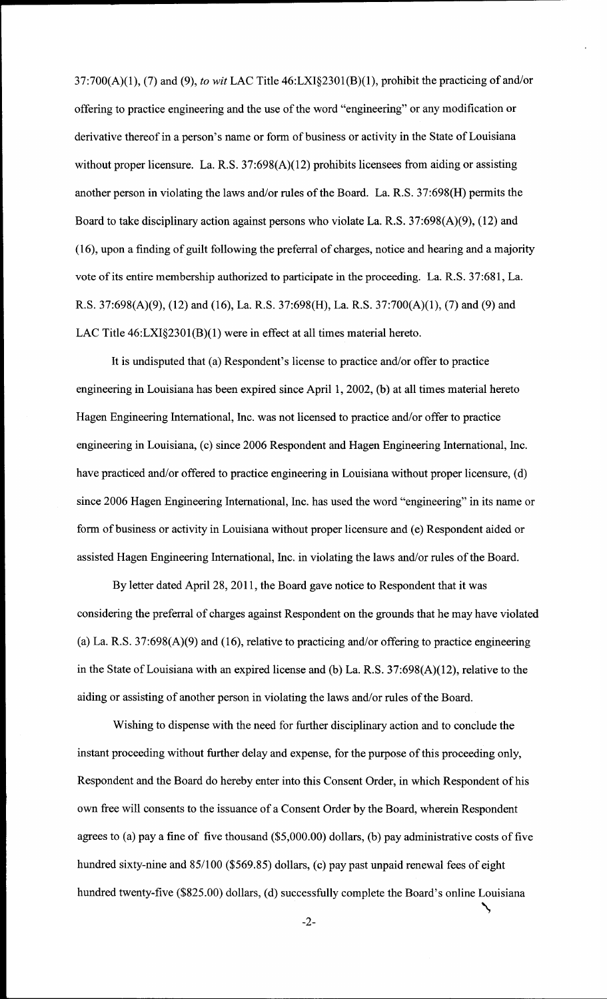37:700(A)(1), (7) and (9), *to wit* LAC Title 46:LXI§2301(B)(1), prohibit the practicing of and/or offering to practice engineering and the use of the word "engineering" or any modification or derivative thereof in a person's name or form of business or activity in the State of Louisiana without proper licensure. La. R.S. 37:698(A)(12) prohibits licensees from aiding or assisting another person in violating the laws and/or rules of the Board. La. R.S. 37:698(H) permits the Board to take disciplinary action against persons who violate La. R.S. 37:698(A)(9), (12) and (16), upon a finding of guilt following the preferral of charges, notice and hearing and a majority vote of its entire membership authorized to participate in the proceeding. La. R.S. 37:681, La. R.S. 37:698(A)(9), (12) and (16), La. R.S. 37:698(H), La. R.S. 37:700(A)(1), (7) and (9) and LAC Title 46:LXI§2301(B)(1) were in effect at all times material hereto.

It is undisputed that (a) Respondent's license to practice and/or offer to practice engineering in Louisiana has been expired since April 1, 2002, (b) at all times material hereto Hagen Engineering International, Inc. was not licensed to practice and/or offer to practice engineering in Louisiana, (c) since 2006 Respondent and Hagen Engineering International, Inc. have practiced and/or offered to practice engineering in Louisiana without proper licensure, (d) since 2006 Hagen Engineering International, Inc. has used the word "engineering" in its name or form of business or activity in Louisiana without proper licensure and (e) Respondent aided or assisted Hagen Engineering International, Inc. in violating the laws and/or rules of the Board.

By letter dated April 28, 2011, the Board gave notice to Respondent that it was considering the preferral of charges against Respondent on the grounds that he may have violated (a) La. R.S. 37:698(A)(9) and (16), relative to practicing and/or offering to practice engineering in the State of Louisiana with an expired license and (b) La. R.S. 37:698(A)(12), relative to the aiding or assisting of another person in violating the laws and/or rules of the Board.

Wishing to dispense with the need for further disciplinary action and to conclude the instant proceeding without further delay and expense, for the purpose of this proceeding only, Respondent and the Board do hereby enter into this Consent Order, in which Respondent of his own free will consents to the issuance of a Consent Order by the Board, wherein Respondent agrees to (a) pay a fine of five thousand (\$5,000.00) dollars, (b) pay administrative costs of five hundred sixty-nine and 85/100 (\$569.85) dollars, (c) pay past unpaid renewal fees of eight hundred twenty-five (\$825.00) dollars, (d) successfully complete the Board's online Louisiana

-2-

~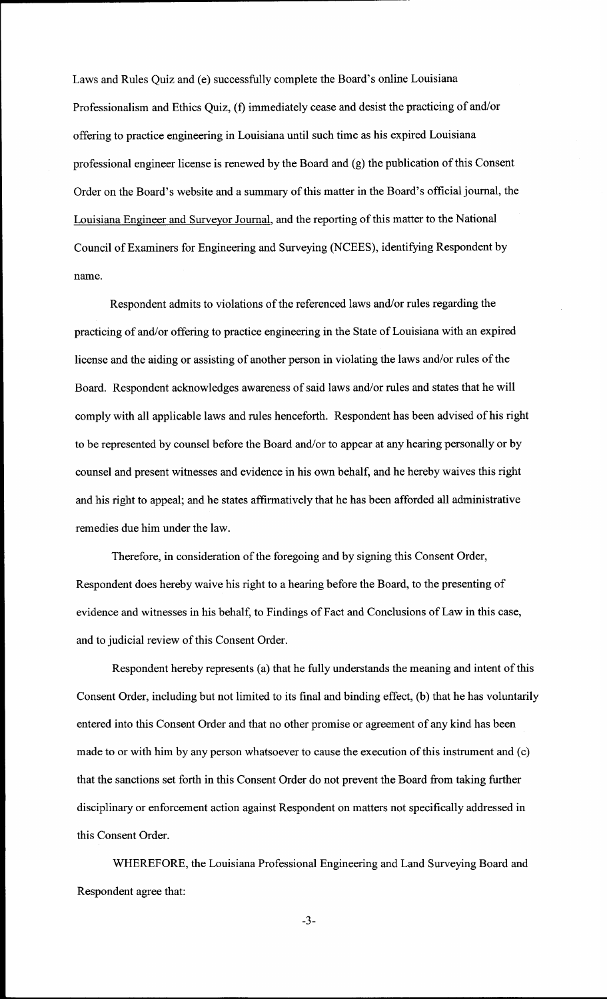Laws and Rules Quiz and (e) successfully complete the Board's online Louisiana Professionalism and Ethics Quiz, (f) immediately cease and desist the practicing of and/or offering to practice engineering in Louisiana until such time as his expired Louisiana professional engineer license is renewed by the Board and (g) the publication of this Consent Order on the Board's website and a summary of this matter in the Board's official journal, the Louisiana Engineer and Surveyor Journal, and the reporting of this matter to the National Council of Examiners for Engineering and Surveying (NCEES), identifying Respondent by name.

Respondent admits to violations of the referenced laws and/or rules regarding the practicing of and/or offering to practice engineering in the State of Louisiana with an expired license and the aiding or assisting of another person in violating the laws and/or rules of the Board. Respondent acknowledges awareness of said laws and/or rules and states that he will comply with all applicable laws and rules henceforth. Respondent has been advised of his right to be represented by counsel before the Board and/or to appear at any hearing personally or by counsel and present witnesses and evidence in his own behalf, and he hereby waives this right and his right to appeal; and he states affirmatively that he has been afforded all administrative remedies due him under the law.

Therefore, in consideration of the foregoing and by signing this Consent Order, Respondent does hereby waive his right to a hearing before the Board, to the presenting of evidence and witnesses in his behalf, to Findings of Fact and Conclusions of Law in this case, and to judicial review of this Consent Order.

Respondent hereby represents (a) that he fully understands the meaning and intent of this Consent Order, including but not limited to its final and binding effect, (b) that he has voluntarily entered into this Consent Order and that no other promise or agreement of any kind has been made to or with him by any person whatsoever to cause the execution of this instrument and (c) that the sanctions set forth in this Consent Order do not prevent the Board from taking further disciplinary or enforcement action against Respondent on matters not specifically addressed in this Consent Order.

WHEREFORE, the Louisiana Professional Engineering and Land Surveying Board and Respondent agree that:

-3-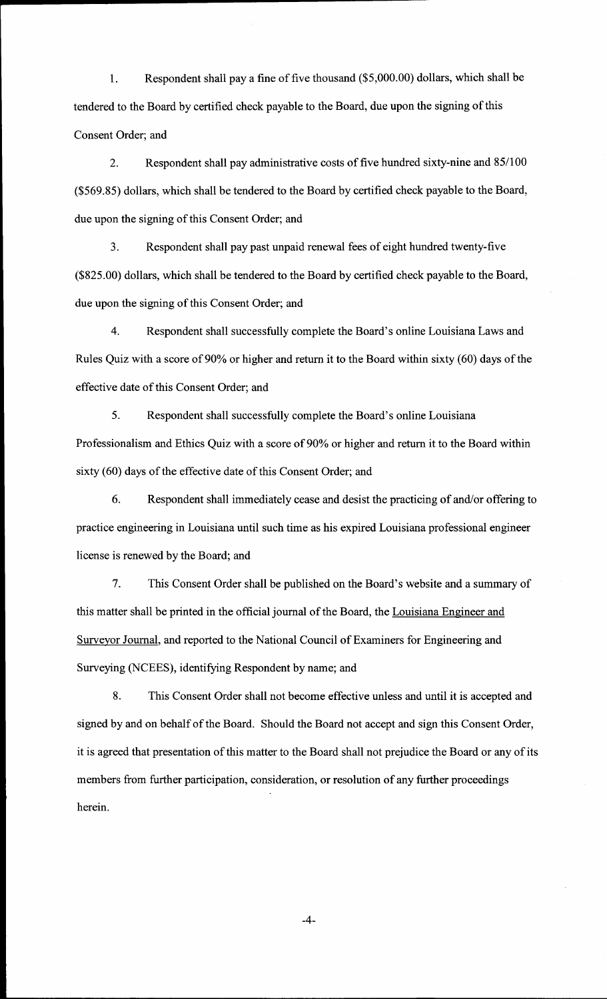1. Respondent shall pay a fine of five thousand (\$5,000.00) dollars, which shall be tendered to the Board by certified check payable to the Board, due upon the signing of this Consent Order; and

2. Respondent shall pay administrative costs of five hundred sixty-nine and 85/100 (\$569.85) dollars, which shall be tendered to the Board by certified check payable to the Board, due upon the signing of this Consent Order; and

3. Respondent shall pay past unpaid renewal fees of eight hundred twenty-five (\$825.00) dollars, which shall be tendered to the Board by certified check payable to the Board, due upon the signing of this Consent Order; and

4. Respondent shall successfully complete the Board's online Louisiana Laws and Rules Quiz with a score of 90% or higher and return it to the Board within sixty (60) days of the effective date of this Consent Order; and

5. Respondent shall successfully complete the Board's online Louisiana Professionalism and Ethics Quiz with a score of 90% or higher and return it to the Board within sixty (60) days of the effective date of this Consent Order; and

6. Respondent shall immediately cease and desist the practicing of and/or offering to practice engineering in Louisiana until such time as his expired Louisiana professional engineer license is renewed by the Board; and

7. This Consent Order shall be published on the Board's website and a summary of this matter shall be printed in the official journal of the Board, the Louisiana Engineer and Surveyor Journal, and reported to the National Council of Examiners for Engineering and Surveying (NCEES), identifying Respondent by name; and

8. This Consent Order shall not become effective unless and until it is accepted and signed by and on behalf of the Board. Should the Board not accept and sign this Consent Order, it is agreed that presentation of this matter to the Board shall not prejudice the Board or any of its members from further participation, consideration, or resolution of any further proceedings herein.

-4-